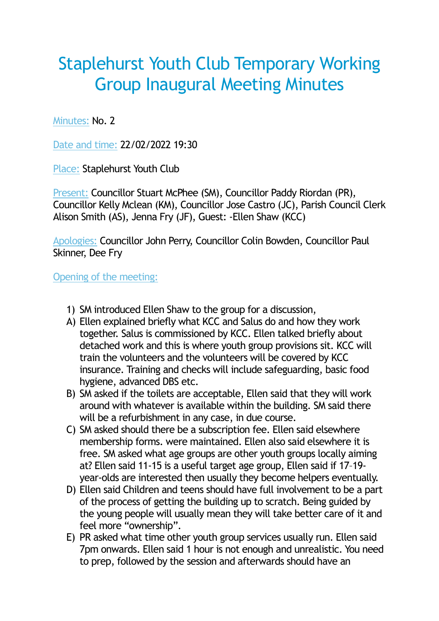## Staplehurst Youth Club Temporary Working Group Inaugural Meeting Minutes

Minutes: No. 2

Date and time: 22/02/2022 19:30

Place: Staplehurst Youth Club

Present: Councillor Stuart McPhee (SM), Councillor Paddy Riordan (PR), Councillor Kelly Mclean (KM), Councillor Jose Castro (JC), Parish Council Clerk Alison Smith (AS), Jenna Fry (JF), Guest: -Ellen Shaw (KCC)

Apologies: Councillor John Perry, Councillor Colin Bowden, Councillor Paul Skinner, Dee Fry

Opening of the meeting:

- 1) SM introduced Ellen Shaw to the group for a discussion,
- A) Ellen explained briefly what KCC and Salus do and how they work together. Salus is commissioned by KCC. Ellen talked briefly about detached work and this is where youth group provisions sit. KCC will train the volunteers and the volunteers will be covered by KCC insurance. Training and checks will include safeguarding, basic food hygiene, advanced DBS etc.
- B) SM asked if the toilets are acceptable, Ellen said that they will work around with whatever is available within the building. SM said there will be a refurbishment in any case, in due course.
- C) SM asked should there be a subscription fee. Ellen said elsewhere membership forms. were maintained. Ellen also said elsewhere it is free. SM asked what age groups are other youth groups locally aiming at? Ellen said 11-15 is a useful target age group, Ellen said if 17–19 year-olds are interested then usually they become helpers eventually.
- D) Ellen said Children and teens should have full involvement to be a part of the process of getting the building up to scratch. Being guided by the young people will usually mean they will take better care of it and feel more "ownership".
- E) PR asked what time other youth group services usually run. Ellen said 7pm onwards. Ellen said 1 hour is not enough and unrealistic. You need to prep, followed by the session and afterwards should have an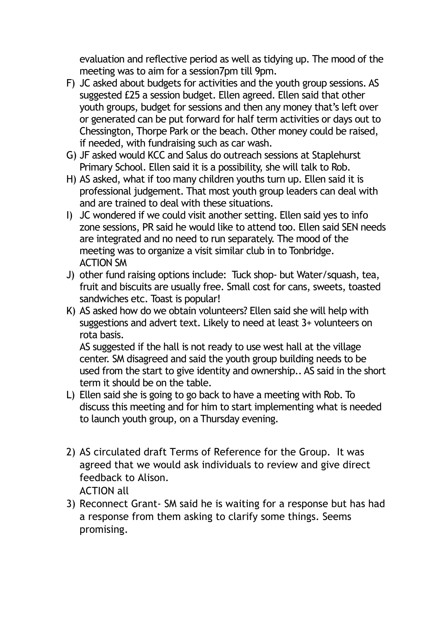evaluation and reflective period as well as tidying up. The mood of the meeting was to aim for a session7pm till 9pm.

- F) JC asked about budgets for activities and the youth group sessions. AS suggested £25 a session budget. Ellen agreed. Ellen said that other youth groups, budget for sessions and then any money that's left over or generated can be put forward for half term activities or days out to Chessington, Thorpe Park or the beach. Other money could be raised, if needed, with fundraising such as car wash.
- G) JF asked would KCC and Salus do outreach sessions at Staplehurst Primary School. Ellen said it is a possibility, she will talk to Rob.
- H) AS asked, what if too many children youths turn up. Ellen said it is professional judgement. That most youth group leaders can deal with and are trained to deal with these situations.
- I) JC wondered if we could visit another setting. Ellen said yes to info zone sessions, PR said he would like to attend too. Ellen said SEN needs are integrated and no need to run separately. The mood of the meeting was to organize a visit similar club in to Tonbridge. ACTION SM
- J) other fund raising options include: Tuck shop- but Water/squash, tea, fruit and biscuits are usually free. Small cost for cans, sweets, toasted sandwiches etc. Toast is popular!
- K) AS asked how do we obtain volunteers? Ellen said she will help with suggestions and advert text. Likely to need at least 3+ volunteers on rota basis.

AS suggested if the hall is not ready to use west hall at the village center. SM disagreed and said the youth group building needs to be used from the start to give identity and ownership.. AS said in the short term it should be on the table.

- L) Ellen said she is going to go back to have a meeting with Rob. To discuss this meeting and for him to start implementing what is needed to launch youth group, on a Thursday evening.
- 2) AS circulated draft Terms of Reference for the Group. It was agreed that we would ask individuals to review and give direct feedback to Alison. ACTION all
- 3) Reconnect Grant- SM said he is waiting for a response but has had a response from them asking to clarify some things. Seems promising.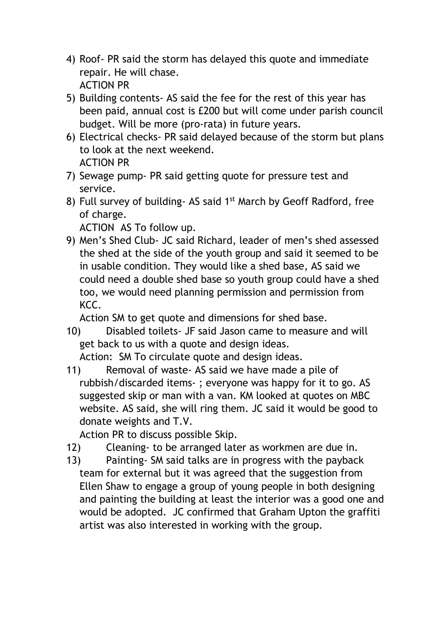- 4) Roof- PR said the storm has delayed this quote and immediate repair. He will chase. ACTION PR
- 5) Building contents- AS said the fee for the rest of this year has been paid, annual cost is £200 but will come under parish council budget. Will be more (pro-rata) in future years.
- 6) Electrical checks- PR said delayed because of the storm but plans to look at the next weekend. ACTION PR
- 7) Sewage pump- PR said getting quote for pressure test and service.
- 8) Full survey of building- AS said 1<sup>st</sup> March by Geoff Radford, free of charge.

ACTION AS To follow up.

9) Men's Shed Club- JC said Richard, leader of men's shed assessed the shed at the side of the youth group and said it seemed to be in usable condition. They would like a shed base, AS said we could need a double shed base so youth group could have a shed too, we would need planning permission and permission from KCC.

Action SM to get quote and dimensions for shed base.

10) Disabled toilets- JF said Jason came to measure and will get back to us with a quote and design ideas.

Action: SM To circulate quote and design ideas.

11) Removal of waste- AS said we have made a pile of rubbish/discarded items- ; everyone was happy for it to go. AS suggested skip or man with a van. KM looked at quotes on MBC website. AS said, she will ring them. JC said it would be good to donate weights and T.V.

Action PR to discuss possible Skip.

- 12) Cleaning- to be arranged later as workmen are due in.
- 13) Painting- SM said talks are in progress with the payback team for external but it was agreed that the suggestion from Ellen Shaw to engage a group of young people in both designing and painting the building at least the interior was a good one and would be adopted. JC confirmed that Graham Upton the graffiti artist was also interested in working with the group.